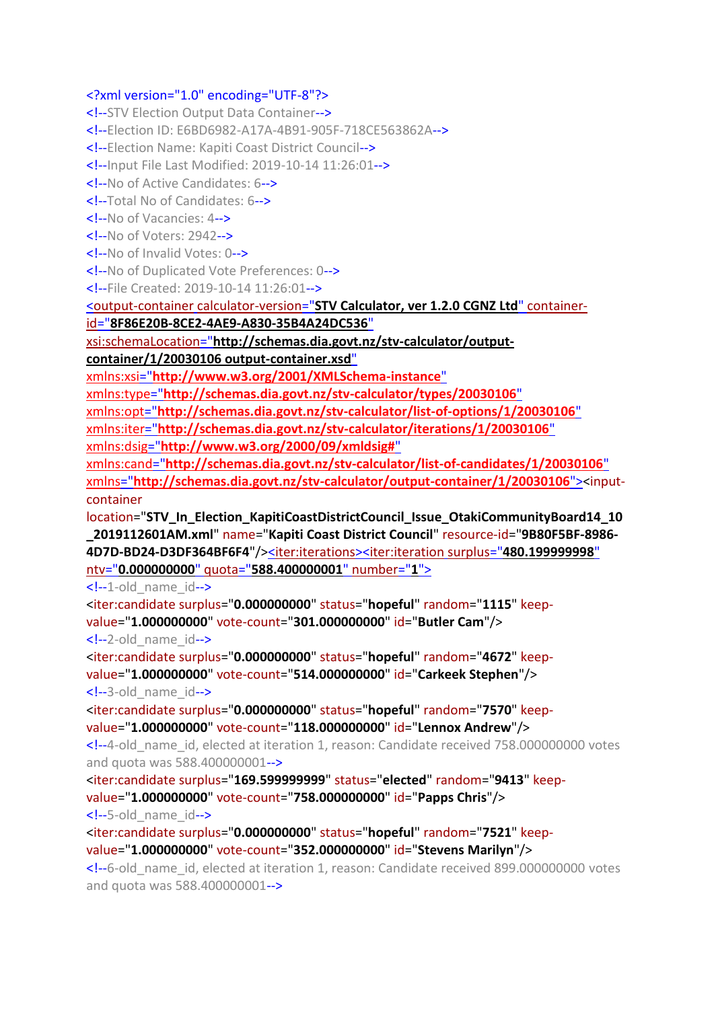## <?xml version="1.0" encoding="UTF-8"?>

<!--STV Election Output Data Container--> <!--Election ID: E6BD6982-A17A-4B91-905F-718CE563862A--> <!--Election Name: Kapiti Coast District Council--> <!--Input File Last Modified: 2019-10-14 11:26:01--> <!--No of Active Candidates: 6--> <!--Total No of Candidates: 6--> <!--No of Vacancies: 4--> <!--No of Voters: 2942--> <!--No of Invalid Votes: 0--> <!--No of Duplicated Vote Preferences: 0--> <!--File Created: 2019-10-14 11:26:01--> <output-container calculator-version="**[STV Calculator, ver 1.2.0 CGNZ Ltd](file:///C:/Program%20Files%20(x86)/STVCalculator/STVR/STV_Result_Election_KapitiCoastDistrictCouncil_Issue_OtakiCommunityBoard14_10_2019112601AM_N.xml)**" containerid="**[8F86E20B-8CE2-4AE9-A830-35B4A24DC536](file:///C:/Program%20Files%20(x86)/STVCalculator/STVR/STV_Result_Election_KapitiCoastDistrictCouncil_Issue_OtakiCommunityBoard14_10_2019112601AM_N.xml)**" xsi:schemaLocation="**[http://schemas.dia.govt.nz/stv-calculator/output](file:///C:/Program%20Files%20(x86)/STVCalculator/STVR/STV_Result_Election_KapitiCoastDistrictCouncil_Issue_OtakiCommunityBoard14_10_2019112601AM_N.xml)[container/1/20030106 output-container.xsd](file:///C:/Program%20Files%20(x86)/STVCalculator/STVR/STV_Result_Election_KapitiCoastDistrictCouncil_Issue_OtakiCommunityBoard14_10_2019112601AM_N.xml)**" xmlns:xsi="**[http://www.w3.org/2001/XMLSchema-instance](file:///C:/Program%20Files%20(x86)/STVCalculator/STVR/STV_Result_Election_KapitiCoastDistrictCouncil_Issue_OtakiCommunityBoard14_10_2019112601AM_N.xml)**" xmlns:type="**[http://schemas.dia.govt.nz/stv-calculator/types/20030106](file:///C:/Program%20Files%20(x86)/STVCalculator/STVR/STV_Result_Election_KapitiCoastDistrictCouncil_Issue_OtakiCommunityBoard14_10_2019112601AM_N.xml)**" xmlns:opt="**[http://schemas.dia.govt.nz/stv-calculator/list-of-options/1/20030106](file:///C:/Program%20Files%20(x86)/STVCalculator/STVR/STV_Result_Election_KapitiCoastDistrictCouncil_Issue_OtakiCommunityBoard14_10_2019112601AM_N.xml)**" xmlns:iter="**[http://schemas.dia.govt.nz/stv-calculator/iterations/1/20030106](file:///C:/Program%20Files%20(x86)/STVCalculator/STVR/STV_Result_Election_KapitiCoastDistrictCouncil_Issue_OtakiCommunityBoard14_10_2019112601AM_N.xml)**" xmlns:dsig="**[http://www.w3.org/2000/09/xmldsig#](file:///C:/Program%20Files%20(x86)/STVCalculator/STVR/STV_Result_Election_KapitiCoastDistrictCouncil_Issue_OtakiCommunityBoard14_10_2019112601AM_N.xml)**" xmlns:cand="**[http://schemas.dia.govt.nz/stv-calculator/list-of-candidates/1/20030106](file:///C:/Program%20Files%20(x86)/STVCalculator/STVR/STV_Result_Election_KapitiCoastDistrictCouncil_Issue_OtakiCommunityBoard14_10_2019112601AM_N.xml)**" xmlns="**[http://schemas.dia.govt.nz/stv-calculator/output-container/1/20030106](file:///C:/Program%20Files%20(x86)/STVCalculator/STVR/STV_Result_Election_KapitiCoastDistrictCouncil_Issue_OtakiCommunityBoard14_10_2019112601AM_N.xml)**"><inputcontainer location="**STV\_In\_Election\_KapitiCoastDistrictCouncil\_Issue\_OtakiCommunityBoard14\_10 \_2019112601AM.xml**" name="**Kapiti Coast District Council**" resource-id="**9B80F5BF-8986- 4D7D-BD24-D3DF364BF6F4**"/[><iter:iterations><](file:///C:/Program%20Files%20(x86)/STVCalculator/STVR/STV_Result_Election_KapitiCoastDistrictCouncil_Issue_OtakiCommunityBoard14_10_2019112601AM_N.xml)iter:iteration surplus="**[480.199999998](file:///C:/Program%20Files%20(x86)/STVCalculator/STVR/STV_Result_Election_KapitiCoastDistrictCouncil_Issue_OtakiCommunityBoard14_10_2019112601AM_N.xml)**" ntv="**0.000000000**" quota="**[588.400000001](file:///C:/Program%20Files%20(x86)/STVCalculator/STVR/STV_Result_Election_KapitiCoastDistrictCouncil_Issue_OtakiCommunityBoard14_10_2019112601AM_N.xml)**" number="**1**">  $\leq$  --1-old name  $id$ --> <iter:candidate surplus="**0.000000000**" status="**hopeful**" random="**1115**" keepvalue="**1.000000000**" vote-count="**301.000000000**" id="**Butler Cam**"/>  $\leq$  --2-old name  $id$ --> <iter:candidate surplus="**0.000000000**" status="**hopeful**" random="**4672**" keepvalue="**1.000000000**" vote-count="**514.000000000**" id="**Carkeek Stephen**"/> <!--3-old\_name\_id-->

<iter:candidate surplus="**0.000000000**" status="**hopeful**" random="**7570**" keepvalue="**1.000000000**" vote-count="**118.000000000**" id="**Lennox Andrew**"/> <!--4-old\_name\_id, elected at iteration 1, reason: Candidate received 758.000000000 votes

and quota was 588.400000001-->

<iter:candidate surplus="**169.599999999**" status="**elected**" random="**9413**" keepvalue="**1.000000000**" vote-count="**758.000000000**" id="**Papps Chris**"/> <!--5-old\_name\_id-->

<iter:candidate surplus="**0.000000000**" status="**hopeful**" random="**7521**" keepvalue="**1.000000000**" vote-count="**352.000000000**" id="**Stevens Marilyn**"/> <!--6-old\_name\_id, elected at iteration 1, reason: Candidate received 899.000000000 votes and quota was 588.400000001-->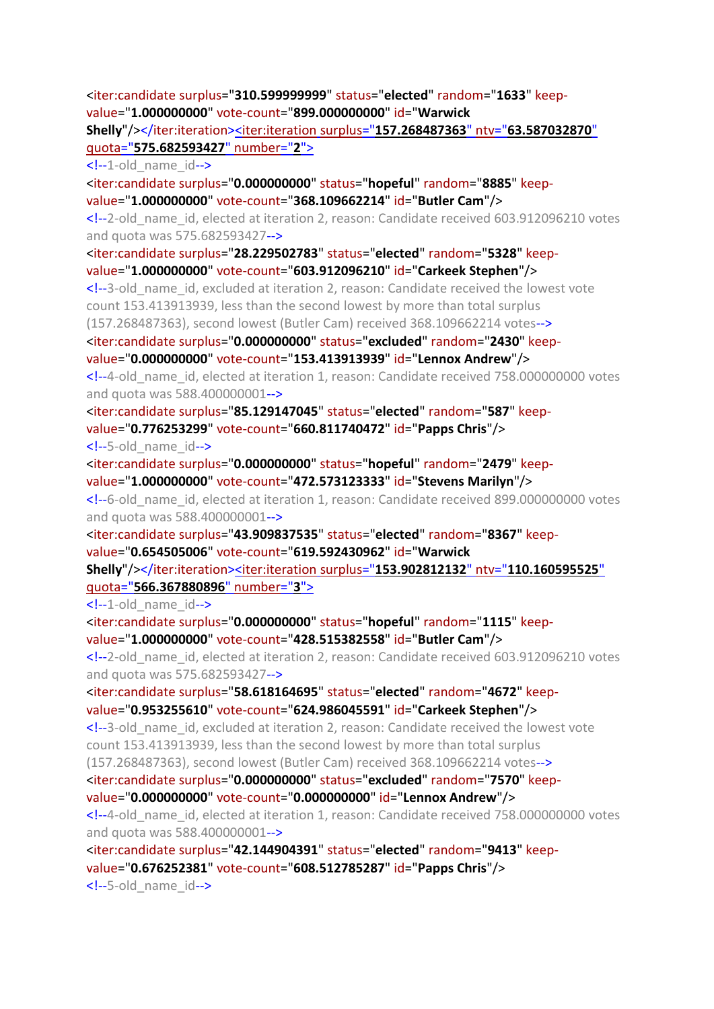<iter:candidate surplus="**310.599999999**" status="**elected**" random="**1633**" keepvalue="**1.000000000**" vote-count="**899.000000000**" id="**Warwick** 

**Shelly**"/></iter:iteration><iter:iteration surplus="**[157.268487363](file:///C:/Program%20Files%20(x86)/STVCalculator/STVR/STV_Result_Election_KapitiCoastDistrictCouncil_Issue_OtakiCommunityBoard14_10_2019112601AM_N.xml)**" ntv="**63.587032870**" quota="**[575.682593427](file:///C:/Program%20Files%20(x86)/STVCalculator/STVR/STV_Result_Election_KapitiCoastDistrictCouncil_Issue_OtakiCommunityBoard14_10_2019112601AM_N.xml)**" number="**2**">

 $\leq$  --1-old name  $id$ -->

<iter:candidate surplus="**0.000000000**" status="**hopeful**" random="**8885**" keepvalue="**1.000000000**" vote-count="**368.109662214**" id="**Butler Cam**"/>

<!--2-old\_name\_id, elected at iteration 2, reason: Candidate received 603.912096210 votes and quota was 575.682593427-->

<iter:candidate surplus="**28.229502783**" status="**elected**" random="**5328**" keepvalue="**1.000000000**" vote-count="**603.912096210**" id="**Carkeek Stephen**"/>

<!--3-old\_name\_id, excluded at iteration 2, reason: Candidate received the lowest vote count 153.413913939, less than the second lowest by more than total surplus

(157.268487363), second lowest (Butler Cam) received 368.109662214 votes-->

<iter:candidate surplus="**0.000000000**" status="**excluded**" random="**2430**" keep-

value="**0.000000000**" vote-count="**153.413913939**" id="**Lennox Andrew**"/> <!--4-old\_name\_id, elected at iteration 1, reason: Candidate received 758.000000000 votes

```
and quota was 588.400000001-->
```
<iter:candidate surplus="**85.129147045**" status="**elected**" random="**587**" keepvalue="**0.776253299**" vote-count="**660.811740472**" id="**Papps Chris**"/> <!--5-old\_name\_id-->

<iter:candidate surplus="**0.000000000**" status="**hopeful**" random="**2479**" keepvalue="**1.000000000**" vote-count="**472.573123333**" id="**Stevens Marilyn**"/>

<!--6-old\_name\_id, elected at iteration 1, reason: Candidate received 899.000000000 votes and quota was 588.400000001-->

<iter:candidate surplus="**43.909837535**" status="**elected**" random="**8367**" keepvalue="**0.654505006**" vote-count="**619.592430962**" id="**Warwick** 

**Shelly**"/></iter:iteration><iter:iteration surplus="**[153.902812132](file:///C:/Program%20Files%20(x86)/STVCalculator/STVR/STV_Result_Election_KapitiCoastDistrictCouncil_Issue_OtakiCommunityBoard14_10_2019112601AM_N.xml)**" ntv="**110.160595525**" quota="**[566.367880896](file:///C:/Program%20Files%20(x86)/STVCalculator/STVR/STV_Result_Election_KapitiCoastDistrictCouncil_Issue_OtakiCommunityBoard14_10_2019112601AM_N.xml)**" number="**3**">

 $\leq$  --1-old name  $id$ -->

<iter:candidate surplus="**0.000000000**" status="**hopeful**" random="**1115**" keepvalue="**1.000000000**" vote-count="**428.515382558**" id="**Butler Cam**"/>

<!--2-old\_name\_id, elected at iteration 2, reason: Candidate received 603.912096210 votes and quota was 575.682593427-->

<iter:candidate surplus="**58.618164695**" status="**elected**" random="**4672**" keepvalue="**0.953255610**" vote-count="**624.986045591**" id="**Carkeek Stephen**"/>

<!--3-old\_name\_id, excluded at iteration 2, reason: Candidate received the lowest vote count 153.413913939, less than the second lowest by more than total surplus (157.268487363), second lowest (Butler Cam) received 368.109662214 votes-->

<iter:candidate surplus="**0.000000000**" status="**excluded**" random="**7570**" keep-

value="**0.000000000**" vote-count="**0.000000000**" id="**Lennox Andrew**"/>

<!--4-old\_name\_id, elected at iteration 1, reason: Candidate received 758.000000000 votes and quota was 588.400000001-->

<iter:candidate surplus="**42.144904391**" status="**elected**" random="**9413**" keepvalue="**0.676252381**" vote-count="**608.512785287**" id="**Papps Chris**"/> <!--5-old\_name\_id-->